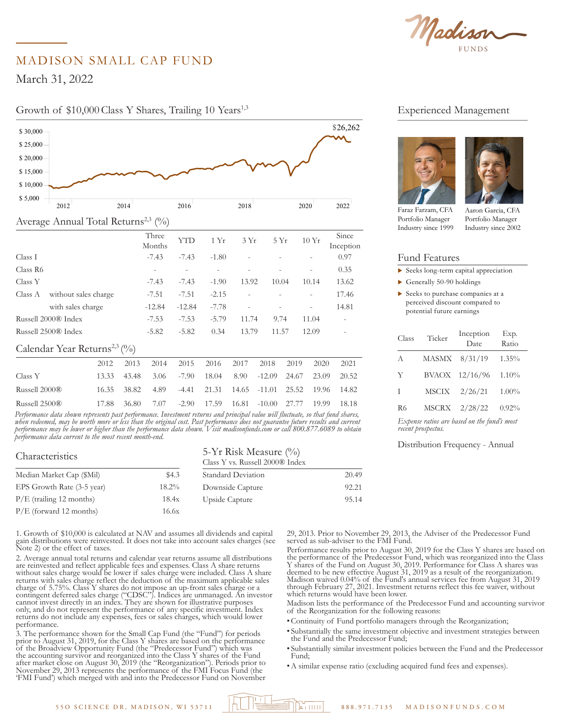

# MADISON SMALL CAP FUND

March 31, 2022

\$ 18,000

#### Growth of \$10,000 Class Y Shares, Trailing 10 Years<sup>1,3</sup>  $2012$



| Class A                                  | without sales charge |       | $-7.51$  | $-7.51$  | $-2.15$ |               |                |       |                          | 17.46 |
|------------------------------------------|----------------------|-------|----------|----------|---------|---------------|----------------|-------|--------------------------|-------|
|                                          | with sales charge    |       | $-12.84$ | $-12.84$ | $-7.78$ |               |                |       | $\overline{\phantom{0}}$ | 14.81 |
| Russell 2000® Index                      |                      |       | $-7.53$  | $-7.53$  | $-5.79$ | 11.74<br>9.74 |                |       | 11.04                    |       |
| Russell 2500 <sup>®</sup> Index          |                      |       | $-5.82$  | $-5.82$  | 0.34    |               | 13.79<br>11.57 |       | 12.09                    |       |
| Calendar Year Returns <sup>2,3</sup> (%) |                      |       |          |          |         |               |                |       |                          |       |
|                                          | 2012                 | 2013  | 2014     | 2015     | 2016    | 2017          | 2018           | 2019  | 2020                     | 2021  |
| Class Y                                  | 13.33                | 43.48 | 3.06     | $-7.90$  | 18.04   | 8.90          | $-12.09$       | 24.67 | 23.09                    | 20.52 |
| Russell 2000®                            | 16.35                | 38.82 | 4.89     | $-4.41$  | 21.31   | 14.65         | $-11.01$       | 25.52 | 19.96                    | 14.82 |

*Performance data shown represents past performance. Investment returns and principal value will fluctuate, so that fund shares, when redeemed, may be worth more or less than the original cost. Past performance does not guarantee future results and current*  performance may be lower or higher than the performance data shown. Visit madisonfunds.com or call 800.877.6089 to obtain performance data current to the most recent month-end. 'erforman  $\rm \&$ ussell 2500 $\rm \&$ may be i \$ 14,000

Russell 2500® 17.88 36.80 7.07 -2.90 17.59 16.81 -10.00 27.77 19.99 18.18

| Characteristics            | 5-Yr Risk Measure $(\%$<br>Class Y vs. Russell 2000® Index |                           |       |  |
|----------------------------|------------------------------------------------------------|---------------------------|-------|--|
| Median Market Cap (\$Mil)  | \$4.3                                                      | <b>Standard Deviation</b> | 20.49 |  |
| EPS Growth Rate (3-5 year) | $18.2\%$                                                   | Downside Capture          | 92.21 |  |
| $P/E$ (trailing 12 months) | 18.4x                                                      | Upside Capture            | 95.14 |  |
| $P/E$ (forward 12 months)  | 16.6x                                                      |                           |       |  |

1. Growth of \$10,000 is calculated at NAV and assumes all dividends and capital gain distributions were reinvested. It does not take into account sales charges (see Note 2) or the effect of taxes.

2. Average annual total returns and calendar year returns assume all distributions are reinvested and reflect applicable fees and expenses. Class A share returns without sales charge would be lower if sales charge were included. Class A share returns with sales charge reflect the deduction of the maximum applicable sales charge of 5.75%. Class Y shares do not impose an up-front sales charge or a contingent deferred sales charge ("CDSC"). Indices are unmanaged. An investor cannot invest directly in an index. They are shown for illustrative purposes only, and do not represent the performance of any specific investment. Index returns do not include any expenses, fees or sales charges, which would lower performance. 2012 2014 2016 2018 2020 2022 8,0000<br>box00

3. The performance shown for the Small Cap Fund (the "Fund") for periods prior to August 31, 2019, for the Class Y shares are based on the performance of the Broadview Opportunity Fund (the "Predecessor Fund") which was the accounting survivor and reorganized into the Class Y shares of the Fund after market close on August 30, 2019 (the "Reorganization"). Periods prior to November 29, 2013 represents the performance of the FMI Focus Fund (the 'FMI Fund') which merged with and into the Predecessor Fund on November

### Experienced Management





Faraz Farzam, CFA Portfolio Manager Industry since 1999

Aaron Garcia, CFA Portfolio Manager Industry since 2002

### Fund Features

- $\blacktriangleright$  Seeks long-term capital appreciation
- $\blacktriangleright$  Generally 50-90 holdings
- $\blacktriangleright$  Seeks to purchase companies at a perceived discount compared to potential future earnings

| Class                                                             | Ticker       | Inception<br>Date | Exp.<br>Ratio |  |  |  |  |  |
|-------------------------------------------------------------------|--------------|-------------------|---------------|--|--|--|--|--|
| A                                                                 | <b>MASMX</b> | 8/31/19           | $1.35\%$      |  |  |  |  |  |
| Y                                                                 | <b>BVAOX</b> | 12/16/96          | 1.10%         |  |  |  |  |  |
| T                                                                 | MSCIX        | 2/26/21           | $1.00\%$      |  |  |  |  |  |
| R <sub>6</sub>                                                    | <b>MSCRX</b> | 2/28/22           | 0.92%         |  |  |  |  |  |
| Expense ratios are based on the fund's most<br>recent prospectus. |              |                   |               |  |  |  |  |  |

Distribution Frequency - Annual

29, 2013. Prior to November 29, 2013, the Adviser of the Predecessor Fund served as sub-adviser to the FMI Fund.

Performance results prior to August 30, 2019 for the Class Y shares are based on the performance of the Predecessor Fund, which was reorganized into the Class Y shares of the Fund on August 30, 2019. Performance for Class A shares was deemed to be new effective August 31, 2019 as a result of the reorganization. Madison waived 0.04% of the Fund's annual services fee from August 31, 2019 through February 27, 2021. Investment returns reflect this fee waiver, without which returns would have been lower.

Madison lists the performance of the Predecessor Fund and accounting survivor of the Reorganization for the following reasons:

- •Continuity of Fund portfolio managers through the Reorganization;
- Substantially the same investment objective and investment strategies between the Fund and the Predecessor Fund;
- Substantially similar investment policies between the Fund and the Predecessor Fund;
- •A similar expense ratio (excluding acquired fund fees and expenses).